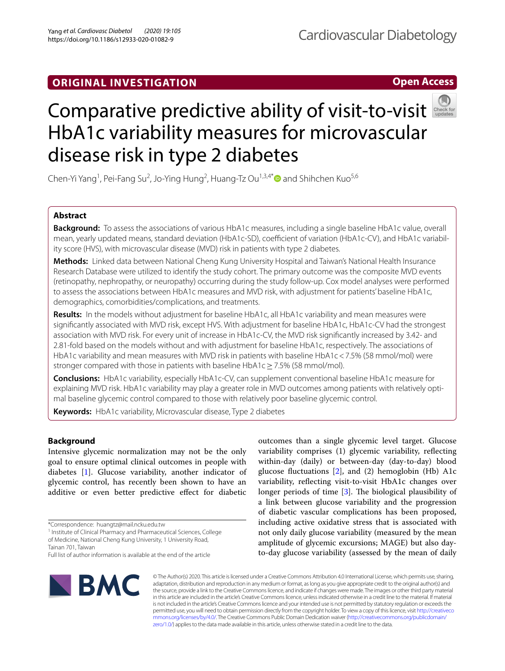## **ORIGINAL INVESTIGATION**

## Cardiovascular Diabetology

**Open Access**



# Comparativepredictive ability of visit-to-visit HbA1c variability measures for microvascular disease risk in type 2 diabetes

Chen-Yi Yang<sup>1</sup>, Pei-Fang Su<sup>2</sup>, Jo-Ying Hung<sup>2</sup>, Huang-Tz Ou<sup>1,3,4\*</sup> $\bullet$  and Shihchen Kuo<sup>5,6</sup>

## **Abstract**

**Background:** To assess the associations of various HbA1c measures, including a single baseline HbA1c value, overall mean, yearly updated means, standard deviation (HbA1c-SD), coefficient of variation (HbA1c-CV), and HbA1c variability score (HVS), with microvascular disease (MVD) risk in patients with type 2 diabetes.

**Methods:** Linked data between National Cheng Kung University Hospital and Taiwan's National Health Insurance Research Database were utilized to identify the study cohort. The primary outcome was the composite MVD events (retinopathy, nephropathy, or neuropathy) occurring during the study follow-up. Cox model analyses were performed to assess the associations between HbA1c measures and MVD risk, with adjustment for patients' baseline HbA1c, demographics, comorbidities/complications, and treatments.

**Results:** In the models without adjustment for baseline HbA1c, all HbA1c variability and mean measures were signifcantly associated with MVD risk, except HVS. With adjustment for baseline HbA1c, HbA1c-CV had the strongest association with MVD risk. For every unit of increase in HbA1c-CV, the MVD risk signifcantly increased by 3.42- and 2.81-fold based on the models without and with adjustment for baseline HbA1c, respectively. The associations of HbA1c variability and mean measures with MVD risk in patients with baseline HbA1c<7.5% (58 mmol/mol) were stronger compared with those in patients with baseline HbA1c  $\geq$  7.5% (58 mmol/mol).

**Conclusions:** HbA1c variability, especially HbA1c-CV, can supplement conventional baseline HbA1c measure for explaining MVD risk. HbA1c variability may play a greater role in MVD outcomes among patients with relatively optimal baseline glycemic control compared to those with relatively poor baseline glycemic control.

**Keywords:** HbA1c variability, Microvascular disease, Type 2 diabetes

## **Background**

Intensive glycemic normalization may not be the only goal to ensure optimal clinical outcomes in people with diabetes [\[1](#page-8-0)]. Glucose variability, another indicator of glycemic control, has recently been shown to have an additive or even better predictive efect for diabetic

<sup>1</sup> Institute of Clinical Pharmacy and Pharmaceutical Sciences, College of Medicine, National Cheng Kung University, 1 University Road,

Full list of author information is available at the end of the article

outcomes than a single glycemic level target. Glucose variability comprises (1) glycemic variability, refecting within-day (daily) or between-day (day-to-day) blood glucose fuctuations [[2](#page-8-1)], and (2) hemoglobin (Hb) A1c variability, refecting visit-to-visit HbA1c changes over longer periods of time  $[3]$  $[3]$ . The biological plausibility of a link between glucose variability and the progression of diabetic vascular complications has been proposed, including active oxidative stress that is associated with not only daily glucose variability (measured by the mean amplitude of glycemic excursions; MAGE) but also dayto-day glucose variability (assessed by the mean of daily



© The Author(s) 2020. This article is licensed under a Creative Commons Attribution 4.0 International License, which permits use, sharing, adaptation, distribution and reproduction in any medium or format, as long as you give appropriate credit to the original author(s) and the source, provide a link to the Creative Commons licence, and indicate if changes were made. The images or other third party material in this article are included in the article's Creative Commons licence, unless indicated otherwise in a credit line to the material. If material is not included in the article's Creative Commons licence and your intended use is not permitted by statutory regulation or exceeds the permitted use, you will need to obtain permission directly from the copyright holder. To view a copy of this licence, visit [http://creativeco](http://creativecommons.org/licenses/by/4.0/) [mmons.org/licenses/by/4.0/.](http://creativecommons.org/licenses/by/4.0/) The Creative Commons Public Domain Dedication waiver ([http://creativecommons.org/publicdomain/](http://creativecommons.org/publicdomain/zero/1.0/) [zero/1.0/\)](http://creativecommons.org/publicdomain/zero/1.0/) applies to the data made available in this article, unless otherwise stated in a credit line to the data.

<sup>\*</sup>Correspondence: huangtz@mail.ncku.edu.tw

Tainan 701, Taiwan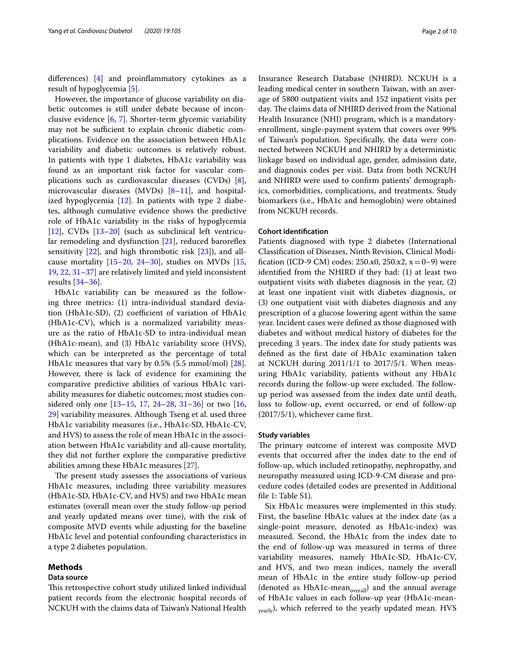diferences) [[4\]](#page-8-3) and proinfammatory cytokines as a result of hypoglycemia [[5](#page-8-4)].

However, the importance of glucose variability on diabetic outcomes is still under debate because of inconclusive evidence [[6,](#page-8-5) [7](#page-8-6)]. Shorter-term glycemic variability may not be sufficient to explain chronic diabetic complications. Evidence on the association between HbA1c variability and diabetic outcomes is relatively robust. In patients with type 1 diabetes, HbA1c variability was found as an important risk factor for vascular complications such as cardiovascular diseases (CVDs) [\[8](#page-8-7)], microvascular diseases (MVDs) [[8](#page-8-7)[–11](#page-9-0)], and hospitalized hypoglycemia  $[12]$  $[12]$ . In patients with type 2 diabetes, although cumulative evidence shows the predictive role of HbA1c variability in the risks of hypoglycemia [[12\]](#page-9-1), CVDs [[13–](#page-9-2)[20\]](#page-9-3) (such as subclinical left ventricular remodeling and dysfunction  $[21]$  $[21]$ , reduced baroreflex sensitivity [[22](#page-9-5)], and high thrombotic risk [\[23](#page-9-6)]), and allcause mortality  $[15–20, 24–30]$  $[15–20, 24–30]$  $[15–20, 24–30]$  $[15–20, 24–30]$  $[15–20, 24–30]$  $[15–20, 24–30]$ , studies on MVDs  $[15, 15]$  $[15, 15]$ [19,](#page-9-10) [22,](#page-9-5) [31](#page-9-11)[–37\]](#page-9-12) are relatively limited and yield inconsistent results [\[34](#page-9-13)[–36\]](#page-9-14).

HbA1c variability can be measured as the following three metrics: (1) intra-individual standard deviation (HbA1c-SD),  $(2)$  coefficient of variation of HbA1c (HbA1c-CV), which is a normalized variability measure as the ratio of HbA1c-SD to intra-individual mean (HbA1c-mean), and (3) HbA1c variability score (HVS), which can be interpreted as the percentage of total HbA1c measures that vary by 0.5% (5.5 mmol/mol) [\[28](#page-9-15)]. However, there is lack of evidence for examining the comparative predictive abilities of various HbA1c variability measures for diabetic outcomes; most studies considered only one [\[13–](#page-9-2)[15,](#page-9-7) [17](#page-9-16), [24–](#page-9-8)[28,](#page-9-15) [31](#page-9-11)[–36](#page-9-14)] or two [\[16](#page-9-17), [29\]](#page-9-18) variability measures. Although Tseng et al. used three HbA1c variability measures (i.e., HbA1c-SD, HbA1c-CV, and HVS) to assess the role of mean HbA1c in the association between HbA1c variability and all-cause mortality, they did not further explore the comparative predictive abilities among these HbA1c measures [[27\]](#page-9-19).

The present study assesses the associations of various HbA1c measures, including three variability measures (HbA1c-SD, HbA1c-CV, and HVS) and two HbA1c mean estimates (overall mean over the study follow-up period and yearly updated means over time), with the risk of composite MVD events while adjusting for the baseline HbA1c level and potential confounding characteristics in a type 2 diabetes population.

#### **Methods**

## **Data source**

This retrospective cohort study utilized linked individual patient records from the electronic hospital records of NCKUH with the claims data of Taiwan's National Health

Insurance Research Database (NHIRD). NCKUH is a leading medical center in southern Taiwan, with an average of 5800 outpatient visits and 152 inpatient visits per day. The claims data of NHIRD derived from the National Health Insurance (NHI) program, which is a mandatoryenrollment, single-payment system that covers over 99% of Taiwan's population. Specifcally, the data were connected between NCKUH and NHIRD by a deterministic linkage based on individual age, gender, admission date, and diagnosis codes per visit. Data from both NCKUH and NHIRD were used to confrm patients' demographics, comorbidities, complications, and treatments. Study biomarkers (i.e., HbA1c and hemoglobin) were obtained from NCKUH records.

## **Cohort identifcation**

Patients diagnosed with type 2 diabetes (International Classifcation of Diseases, Ninth Revision, Clinical Modification (ICD-9 CM) codes: 250.x0, 250.x2,  $x = 0-9$ ) were identifed from the NHIRD if they had: (1) at least two outpatient visits with diabetes diagnosis in the year, (2) at least one inpatient visit with diabetes diagnosis, or (3) one outpatient visit with diabetes diagnosis and any prescription of a glucose lowering agent within the same year. Incident cases were defned as those diagnosed with diabetes and without medical history of diabetes for the preceding 3 years. The index date for study patients was defned as the frst date of HbA1c examination taken at NCKUH during 2011/1/1 to 2017/5/1. When measuring HbA1c variability, patients without any HbA1c records during the follow-up were excluded. The followup period was assessed from the index date until death, loss to follow-up, event occurred, or end of follow-up (2017/5/1), whichever came frst.

#### **Study variables**

The primary outcome of interest was composite MVD events that occurred after the index date to the end of follow-up, which included retinopathy, nephropathy, and neuropathy measured using ICD-9-CM disease and procedure codes (detailed codes are presented in Additional fle [1](#page-8-8): Table S1).

Six HbA1c measures were implemented in this study. First, the baseline HbA1c values at the index date (as a single-point measure, denoted as HbA1c-index) was measured. Second, the HbA1c from the index date to the end of follow-up was measured in terms of three variability measures, namely HbA1c-SD, HbA1c-CV, and HVS, and two mean indices, namely the overall mean of HbA1c in the entire study follow-up period (denoted as HbA1c-mean<sub>overall</sub>) and the annual average of HbA1c values in each follow-up year (HbA1c-mean-<sub>vearly</sub>), which referred to the yearly updated mean. HVS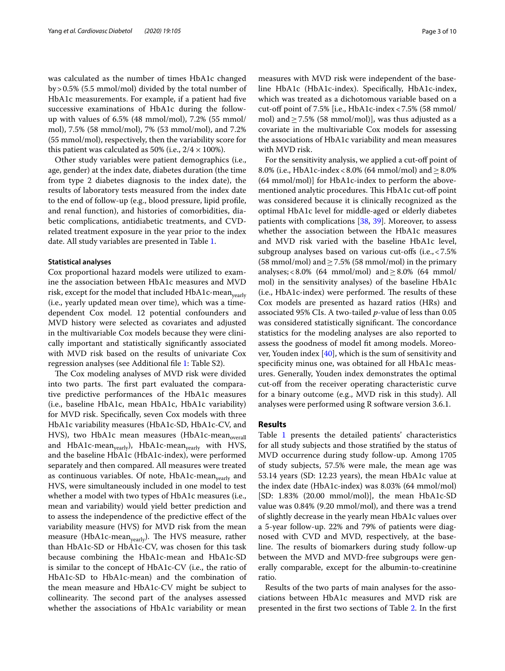was calculated as the number of times HbA1c changed by>0.5% (5.5 mmol/mol) divided by the total number of HbA1c measurements. For example, if a patient had five successive examinations of HbA1c during the followup with values of 6.5% (48 mmol/mol), 7.2% (55 mmol/ mol), 7.5% (58 mmol/mol), 7% (53 mmol/mol), and 7.2% (55 mmol/mol), respectively, then the variability score for this patient was calculated as 50% (i.e.,  $2/4 \times 100\%$ ).

Other study variables were patient demographics (i.e., age, gender) at the index date, diabetes duration (the time from type 2 diabetes diagnosis to the index date), the results of laboratory tests measured from the index date to the end of follow-up (e.g., blood pressure, lipid profle, and renal function), and histories of comorbidities, diabetic complications, antidiabetic treatments, and CVDrelated treatment exposure in the year prior to the index date. All study variables are presented in Table [1.](#page-3-0)

#### **Statistical analyses**

Cox proportional hazard models were utilized to examine the association between HbA1c measures and MVD risk, except for the model that included  $HbA1c$ -mean<sub>vearly</sub> (i.e., yearly updated mean over time), which was a timedependent Cox model. 12 potential confounders and MVD history were selected as covariates and adjusted in the multivariable Cox models because they were clinically important and statistically signifcantly associated with MVD risk based on the results of univariate Cox regression analyses (see Additional fle [1:](#page-8-8) Table S2).

The Cox modeling analyses of MVD risk were divided into two parts. The first part evaluated the comparative predictive performances of the HbA1c measures (i.e., baseline HbA1c, mean HbA1c, HbA1c variability) for MVD risk. Specifcally, seven Cox models with three HbA1c variability measures (HbA1c-SD, HbA1c-CV, and HVS), two HbA1c mean measures (HbA1c-mean<sub>overall</sub> and HbA1c-mean<sub>yearly</sub>), HbA1c-mean<sub>yearly</sub> with HVS, and the baseline HbA1c (HbA1c-index), were performed separately and then compared. All measures were treated as continuous variables. Of note,  $HbA1c$ -mean<sub>vearly</sub> and HVS, were simultaneously included in one model to test whether a model with two types of HbA1c measures (i.e., mean and variability) would yield better prediction and to assess the independence of the predictive efect of the variability measure (HVS) for MVD risk from the mean measure (HbA1c-mean<sub>vearly</sub>). The HVS measure, rather than HbA1c-SD or HbA1c-CV, was chosen for this task because combining the HbA1c-mean and HbA1c-SD is similar to the concept of HbA1c-CV (i.e., the ratio of HbA1c-SD to HbA1c-mean) and the combination of the mean measure and HbA1c-CV might be subject to collinearity. The second part of the analyses assessed whether the associations of HbA1c variability or mean measures with MVD risk were independent of the baseline HbA1c (HbA1c-index). Specifcally, HbA1c-index, which was treated as a dichotomous variable based on a cut-off point of  $7.5\%$  [i.e., HbA1c-index <  $7.5\%$  (58 mmol/ mol) and  $\geq$  7.5% (58 mmol/mol)], was thus adjusted as a covariate in the multivariable Cox models for assessing the associations of HbA1c variability and mean measures with MVD risk.

For the sensitivity analysis, we applied a cut-off point of 8.0% (i.e., HbA1c-index < 8.0% (64 mmol/mol) and  $\geq$  8.0% (64 mmol/mol)] for HbA1c-index to perform the abovementioned analytic procedures. This HbA1c cut-off point was considered because it is clinically recognized as the optimal HbA1c level for middle-aged or elderly diabetes patients with complications [[38,](#page-9-20) [39\]](#page-9-21). Moreover, to assess whether the association between the HbA1c measures and MVD risk varied with the baseline HbA1c level, subgroup analyses based on various cut-ofs (i.e.,<7.5% (58 mmol/mol) and  $\geq$  7.5% (58 mmol/mol) in the primary analyses; <8.0% (64 mmol/mol) and  $\geq$ 8.0% (64 mmol/ mol) in the sensitivity analyses) of the baseline HbA1c  $(i.e., HbA1c-index)$  were performed. The results of these Cox models are presented as hazard ratios (HRs) and associated 95% CIs. A two-tailed *p*-value of less than 0.05 was considered statistically significant. The concordance statistics for the modeling analyses are also reported to assess the goodness of model ft among models. Moreover, Youden index [\[40\]](#page-9-22), which is the sum of sensitivity and specifcity minus one, was obtained for all HbA1c measures. Generally, Youden index demonstrates the optimal cut-off from the receiver operating characteristic curve for a binary outcome (e.g., MVD risk in this study). All analyses were performed using R software version 3.6.1.

## **Results**

Table [1](#page-3-0) presents the detailed patients' characteristics for all study subjects and those stratifed by the status of MVD occurrence during study follow-up. Among 1705 of study subjects, 57.5% were male, the mean age was 53.14 years (SD: 12.23 years), the mean HbA1c value at the index date (HbA1c-index) was 8.03% (64 mmol/mol) [SD: 1.83% (20.00 mmol/mol)], the mean HbA1c-SD value was 0.84% (9.20 mmol/mol), and there was a trend of slightly decrease in the yearly mean HbA1c values over a 5-year follow-up. 22% and 79% of patients were diagnosed with CVD and MVD, respectively, at the baseline. The results of biomarkers during study follow-up between the MVD and MVD-free subgroups were generally comparable, except for the albumin-to-creatinine ratio.

Results of the two parts of main analyses for the associations between HbA1c measures and MVD risk are presented in the frst two sections of Table [2.](#page-5-0) In the frst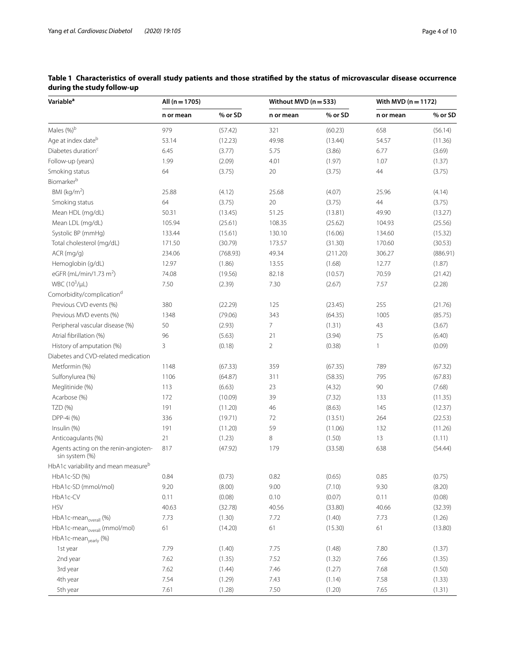| Variable <sup>a</sup>                                  | All $(n = 1705)$ |          | Without MVD ( $n = 533$ ) |          | With MVD $(n = 1172)$ |          |
|--------------------------------------------------------|------------------|----------|---------------------------|----------|-----------------------|----------|
|                                                        | n or mean        | % or SD  | n or mean                 | % or SD  | n or mean             | % or SD  |
| Males (%)b                                             | 979              | (57.42)  | 321                       | (60.23)  | 658                   | (56.14)  |
| Age at index dateb                                     | 53.14            | (12.23)  | 49.98                     | (13.44)  | 54.57                 | (11.36)  |
| Diabetes duration <sup>c</sup>                         | 6.45             | (3.77)   | 5.75                      | (3.86)   | 6.77                  | (3.69)   |
| Follow-up (years)                                      | 1.99             | (2.09)   | 4.01                      | (1.97)   | 1.07                  | (1.37)   |
| Smoking status                                         | 64               | (3.75)   | $20\,$                    | (3.75)   | 44                    | (3.75)   |
| Biomarkerb                                             |                  |          |                           |          |                       |          |
| BMI ( $kg/m2$ )                                        | 25.88            | (4.12)   | 25.68                     | (4.07)   | 25.96                 | (4.14)   |
| Smoking status                                         | 64               | (3.75)   | 20                        | (3.75)   | 44                    | (3.75)   |
| Mean HDL (mg/dL)                                       | 50.31            | (13.45)  | 51.25                     | (13.81)  | 49.90                 | (13.27)  |
| Mean LDL (mg/dL)                                       | 105.94           | (25.61)  | 108.35                    | (25.62)  | 104.93                | (25.56)  |
| Systolic BP (mmHq)                                     | 133.44           | (15.61)  | 130.10                    | (16.06)  | 134.60                | (15.32)  |
| Total cholesterol (mg/dL)                              | 171.50           | (30.79)  | 173.57                    | (31.30)  | 170.60                | (30.53)  |
| ACR (mg/g)                                             | 234.06           | (768.93) | 49.34                     | (211.20) | 306.27                | (886.91) |
| Hemoglobin (g/dL)                                      | 12.97            | (1.86)   | 13.55                     | (1.68)   | 12.77                 | (1.87)   |
| eGFR (mL/min/1.73 m <sup>2</sup> )                     | 74.08            | (19.56)  | 82.18                     | (10.57)  | 70.59                 | (21.42)  |
| WBC $(10^3/\mu L)$                                     | 7.50             | (2.39)   | 7.30                      | (2.67)   | 7.57                  | (2.28)   |
| Comorbidity/complication <sup>d</sup>                  |                  |          |                           |          |                       |          |
| Previous CVD events (%)                                | 380              | (22.29)  | 125                       | (23.45)  | 255                   | (21.76)  |
| Previous MVD events (%)                                | 1348             | (79.06)  | 343                       | (64.35)  | 1005                  | (85.75)  |
| Peripheral vascular disease (%)                        | 50               | (2.93)   | 7                         | (1.31)   | 43                    | (3.67)   |
| Atrial fibrillation (%)                                | 96               | (5.63)   | 21                        | (3.94)   | 75                    | (6.40)   |
| History of amputation (%)                              | 3                | (0.18)   | $\overline{2}$            | (0.38)   | 1                     | (0.09)   |
| Diabetes and CVD-related medication                    |                  |          |                           |          |                       |          |
| Metformin (%)                                          | 1148             | (67.33)  | 359                       | (67.35)  | 789                   | (67.32)  |
| Sulfonylurea (%)                                       | 1106             | (64.87)  | 311                       | (58.35)  | 795                   | (67.83)  |
| Meglitinide (%)                                        | 113              | (6.63)   | 23                        | (4.32)   | 90                    | (7.68)   |
| Acarbose (%)                                           | 172              | (10.09)  | 39                        | (7.32)   | 133                   | (11.35)  |
| TZD (%)                                                | 191              | (11.20)  | 46                        | (8.63)   | 145                   | (12.37)  |
| DPP-4i (%)                                             | 336              | (19.71)  | 72                        | (13.51)  | 264                   | (22.53)  |
| Insulin (%)                                            | 191              | (11.20)  | 59                        | (11.06)  | 132                   | (11.26)  |
| Anticoagulants (%)                                     | 21               | (1.23)   | 8                         | (1.50)   | 13                    | (1.11)   |
| Agents acting on the renin-angioten-<br>sin system (%) | 817              | (47.92)  | 179                       | (33.58)  | 638                   | (54.44)  |
| HbA1c variability and mean measureb                    |                  |          |                           |          |                       |          |
| HbA1c-SD (%)                                           | 0.84             | (0.73)   | 0.82                      | (0.65)   | 0.85                  | (0.75)   |
| HbA1c-SD (mmol/mol)                                    | 9.20             | (8.00)   | 9.00                      | (7.10)   | 9.30                  | (8.20)   |
| HbA1c-CV                                               | 0.11             | (0.08)   | 0.10                      | (0.07)   | 0.11                  | (0.08)   |
| <b>HSV</b>                                             | 40.63            | (32.78)  | 40.56                     | (33.80)  | 40.66                 | (32.39)  |
| HbA1c-mean <sub>overall</sub> (%)                      | 7.73             | (1.30)   | 7.72                      | (1.40)   | 7.73                  | (1.26)   |
| HbA1c-mean <sub>overall</sub> (mmol/mol)               | 61               | (14.20)  | 61                        | (15.30)  | 61                    | (13.80)  |
| HbA1c-mean <sub>yearly</sub> (%)                       |                  |          |                           |          |                       |          |
| 1st year                                               | 7.79             | (1.40)   | 7.75                      | (1.48)   | 7.80                  | (1.37)   |
| 2nd year                                               | 7.62             | (1.35)   | 7.52                      | (1.32)   | 7.66                  | (1.35)   |
| 3rd year                                               | 7.62             | (1.44)   | 7.46                      | (1.27)   | 7.68                  | (1.50)   |
| 4th year                                               | 7.54             | (1.29)   | 7.43                      | (1.14)   | 7.58                  | (1.33)   |
| 5th year                                               | 7.61             | (1.28)   | 7.50                      | (1.20)   | 7.65                  | (1.31)   |

<span id="page-3-0"></span>**Table 1 Characteristics of overall study patients and those stratifed by the status of microvascular disease occurrence during the study follow-up**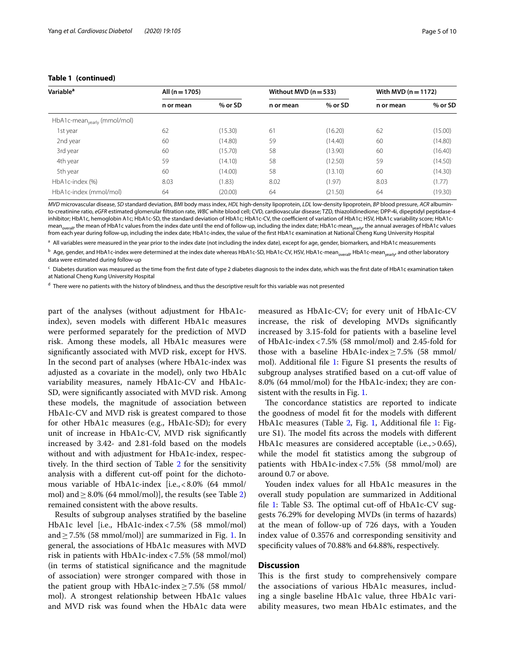| <b>Variable<sup>a</sup></b>             | All $(n = 1705)$ |         | Without MVD $(n=533)$ |         | With MVD $(n = 1172)$ |         |
|-----------------------------------------|------------------|---------|-----------------------|---------|-----------------------|---------|
|                                         | n or mean        | % or SD | n or mean             | % or SD | n or mean             | % or SD |
| HbA1c-mean <sub>yearly</sub> (mmol/mol) |                  |         |                       |         |                       |         |
| 1st year                                | 62               | (15.30) | 61                    | (16.20) | 62                    | (15.00) |
| 2nd year                                | 60               | (14.80) | 59                    | (14.40) | 60                    | (14.80) |
| 3rd year                                | 60               | (15.70) | 58                    | (13.90) | 60                    | (16.40) |
| 4th year                                | 59               | (14.10) | 58                    | (12.50) | 59                    | (14.50) |
| 5th year                                | 60               | (14.00) | 58                    | (13.10) | 60                    | (14.30) |
| HbA1c-index (%)                         | 8.03             | (1.83)  | 8.02                  | (1.97)  | 8.03                  | (1.77)  |
| HbA1c-index (mmol/mol)                  | 64               | (20.00) | 64                    | (21.50) | 64                    | (19.30) |

#### **Table 1 (continued)**

*MVD* microvascular disease, *SD* standard deviation, *BMI* body mass index, *HDL* high-density lipoprotein, *LDL* low-density lipoprotein, *BP* blood pressure, *ACR* albuminto-creatinine ratio, *eGFR* estimated glomerular fltration rate, *WBC* white blood cell; CVD, cardiovascular disease; TZD, thiazolidinedione; DPP-4i, dipeptidyl peptidase-4 inhibitor; HbA1c, hemoglobin A1c; HbA1c-SD, the standard deviation of HbA1c; HbA1c-CV, the coefficient of variation of HbA1c; HSV, HbA1c variability score; HbA1cmean<sub>overall</sub>, the mean of HbA1c values from the index date until the end of follow-up, including the index date; HbA1c-mean<sub>yearly</sub>, the annual averages of HbA1c values from each year during follow-up, including the index date; HbA1c-index, the value of the frst HbA1c examination at National Cheng Kung University Hospital

<sup>a</sup> All variables were measured in the year prior to the index date (not including the index date), except for age, gender, biomarkers, and HbA1c measurements

<sup>b</sup> Age, gender, and HbA1c-index were determined at the index date whereas HbA1c-SD, HbA1c-CV, HSV, HbA1c-mean<sub>overall</sub>, HbA1c-mean<sub>yearly</sub>, and other laboratory data were estimated during follow-up

 $\epsilon$  Diabetes duration was measured as the time from the first date of type 2 diabetes diagnosis to the index date, which was the first date of HbA1c examination taken at National Cheng Kung University Hospital

<sup>d</sup> There were no patients with the history of blindness, and thus the descriptive result for this variable was not presented

part of the analyses (without adjustment for HbA1cindex), seven models with diferent HbA1c measures were performed separately for the prediction of MVD risk. Among these models, all HbA1c measures were signifcantly associated with MVD risk, except for HVS. In the second part of analyses (where HbA1c-index was adjusted as a covariate in the model), only two HbA1c variability measures, namely HbA1c-CV and HbA1c-SD, were signifcantly associated with MVD risk. Among these models, the magnitude of association between HbA1c-CV and MVD risk is greatest compared to those for other HbA1c measures (e.g., HbA1c-SD); for every unit of increase in HbA1c-CV, MVD risk signifcantly increased by 3.42- and 2.81-fold based on the models without and with adjustment for HbA1c-index, respec-tively. In the third section of Table [2](#page-5-0) for the sensitivity analysis with a different cut-off point for the dichotomous variable of HbA1c-index [i.e.,<8.0% (64 mmol/ mol) and  $\geq$  8.0% (64 mmol/mol)], the results (see Table [2](#page-5-0)) remained consistent with the above results.

Results of subgroup analyses stratifed by the baseline HbA1c level [i.e., HbA1c-index<7.5% (58 mmol/mol) and  $\geq$  7.5% (58 mmol/mol)] are summarized in Fig. [1](#page-6-0). In general, the associations of HbA1c measures with MVD risk in patients with HbA1c-index<7.5% (58 mmol/mol) (in terms of statistical signifcance and the magnitude of association) were stronger compared with those in the patient group with HbA1c-index≥7.5% (58 mmol/ mol). A strongest relationship between HbA1c values and MVD risk was found when the HbA1c data were

measured as HbA1c-CV; for every unit of HbA1c-CV increase, the risk of developing MVDs signifcantly increased by 3.15-fold for patients with a baseline level of HbA1c-index<7.5% (58 mmol/mol) and 2.45-fold for those with a baseline HbA1c-index $\geq$ 7.5% (58 mmol/ mol). Additional fle [1](#page-8-8): Figure S1 presents the results of subgroup analyses stratified based on a cut-off value of 8.0% (64 mmol/mol) for the HbA1c-index; they are consistent with the results in Fig. [1](#page-6-0).

The concordance statistics are reported to indicate the goodness of model ft for the models with diferent HbA1c measures (Table [2,](#page-5-0) Fig. [1,](#page-6-0) Additional file [1:](#page-8-8) Figure S1). The model fits across the models with different HbA1c measures are considered acceptable (i.e., > 0.65), while the model ft statistics among the subgroup of patients with HbA1c-index<7.5% (58 mmol/mol) are around 0.7 or above.

Youden index values for all HbA1c measures in the overall study population are summarized in Additional file [1:](#page-8-8) Table S3. The optimal cut-off of  $HbA1c-CV$  suggests 76.29% for developing MVDs (in terms of hazards) at the mean of follow-up of 726 days, with a Youden index value of 0.3576 and corresponding sensitivity and specifcity values of 70.88% and 64.88%, respectively.

#### **Discussion**

This is the first study to comprehensively compare the associations of various HbA1c measures, including a single baseline HbA1c value, three HbA1c variability measures, two mean HbA1c estimates, and the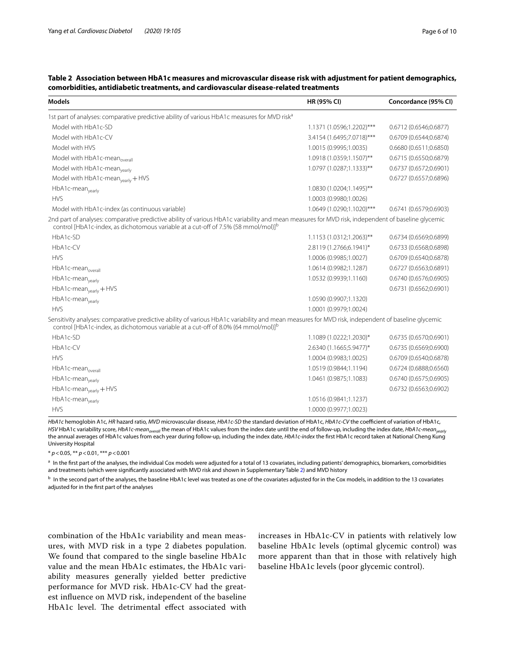| <b>Models</b>                                                                                                                                                                                                                                        | HR (95% CI)               | Concordance (95% CI)   |
|------------------------------------------------------------------------------------------------------------------------------------------------------------------------------------------------------------------------------------------------------|---------------------------|------------------------|
| 1st part of analyses: comparative predictive ability of various HbA1c measures for MVD risk <sup>a</sup>                                                                                                                                             |                           |                        |
| Model with HbA1c-SD                                                                                                                                                                                                                                  | 1.1371 (1.0596;1.2202)*** | 0.6712 (0.6546;0.6877) |
| Model with HbA1c-CV                                                                                                                                                                                                                                  | 3.4154 (1.6495;7.0718)*** | 0.6709 (0.6544;0.6874) |
| Model with HVS                                                                                                                                                                                                                                       | 1.0015 (0.9995;1.0035)    | 0.6680 (0.6511;0.6850) |
| Model with HbA1c-mean <sub>overall</sub>                                                                                                                                                                                                             | 1.0918 (1.0359;1.1507)**  | 0.6715 (0.6550;0.6879) |
| Model with HbA1c-mean <sub>yearly</sub>                                                                                                                                                                                                              | 1.0797 (1.0287;1.1333)**  | 0.6737 (0.6572;0.6901) |
| Model with HbA1c-mean <sub>yearly</sub> + HVS                                                                                                                                                                                                        |                           | 0.6727 (0.6557;0.6896) |
| HbA1c-mean <sub>yearly</sub>                                                                                                                                                                                                                         | 1.0830 (1.0204;1.1495)**  |                        |
| <b>HVS</b>                                                                                                                                                                                                                                           | 1.0003 (0.9980;1.0026)    |                        |
| Model with HbA1c-index (as continuous variable)                                                                                                                                                                                                      | 1.0649 (1.0290;1.1020)*** | 0.6741 (0.6579;0.6903) |
| 2nd part of analyses: comparative predictive ability of various HbA1c variability and mean measures for MVD risk, independent of baseline glycemic<br>control [HbA1c-index, as dichotomous variable at a cut-off of 7.5% (58 mmol/mol)] <sup>b</sup> |                           |                        |
| $HbA1c-SD$                                                                                                                                                                                                                                           | 1.1153 (1.0312;1.2063)**  | 0.6734 (0.6569;0.6899) |
| HbA1c-CV                                                                                                                                                                                                                                             | 2.8119 (1.2766;6.1941)*   | 0.6733 (0.6568;0.6898) |
| <b>HVS</b>                                                                                                                                                                                                                                           | 1.0006 (0.9985;1.0027)    | 0.6709 (0.6540;0.6878) |
| HbA1c-mean <sub>overall</sub>                                                                                                                                                                                                                        | 1.0614 (0.9982;1.1287)    | 0.6727 (0.6563;0.6891) |
| HbA1c-mean <sub>yearly</sub>                                                                                                                                                                                                                         | 1.0532 (0.9939;1.1160)    | 0.6740 (0.6576;0.6905) |
| HbA1c-mean <sub>yearly</sub> + HVS                                                                                                                                                                                                                   |                           | 0.6731 (0.6562;0.6901) |
| HbA1c-mean <sub>yearly</sub>                                                                                                                                                                                                                         | 1.0590 (0.9907;1.1320)    |                        |
| <b>HVS</b>                                                                                                                                                                                                                                           | 1.0001 (0.9979;1.0024)    |                        |
| Sensitivity analyses: comparative predictive ability of various HbA1c variability and mean measures for MVD risk, independent of baseline glycemic<br>control [HbA1c-index, as dichotomous variable at a cut-off of 8.0% (64 mmol/mol)] <sup>b</sup> |                           |                        |
| HbA1c-SD                                                                                                                                                                                                                                             | 1.1089 (1.0222;1.2030)*   | 0.6735 (0.6570;0.6901) |
| HbA1c-CV                                                                                                                                                                                                                                             | 2.6340 (1.1665;5.9477)*   | 0.6735 (0.6569;0.6900) |
| <b>HVS</b>                                                                                                                                                                                                                                           | 1.0004 (0.9983;1.0025)    | 0.6709 (0.6540;0.6878) |
| HbA1c-mean <sub>overall</sub>                                                                                                                                                                                                                        | 1.0519 (0.9844;1.1194)    | 0.6724 (0.6888;0.6560) |
| HbA1c-mean <sub>yearly</sub>                                                                                                                                                                                                                         | 1.0461 (0.9875;1.1083)    | 0.6740 (0.6575;0.6905) |
| HbA1c-mean <sub>yearly</sub> +HVS                                                                                                                                                                                                                    |                           | 0.6732 (0.6563;0.6902) |
| HbA1c-mean <sub>yearly</sub>                                                                                                                                                                                                                         | 1.0516 (0.9841;1.1237)    |                        |
| <b>HVS</b>                                                                                                                                                                                                                                           | 1.0000 (0.9977:1.0023)    |                        |

## <span id="page-5-0"></span>**Table 2 Association between HbA1c measures and microvascular disease risk with adjustment for patient demographics, comorbidities, antidiabetic treatments, and cardiovascular disease-related treatments**

*HbA1c* hemoglobin A1c, *HR* hazard ratio, *MVD* microvascular disease, *HbA1c-SD* the standard deviation of HbA1c, *HbA1c-CV* the coefcient of variation of HbA1c, HSV HbA1c variability score, *HbA1c-mean<sub>overall</sub>* the mean of HbA1c values from the index date until the end of follow-up, including the index date, *HbA1c-mean<sub>yearly</sub>* the annual averages of HbA1c values from each year during follow-up, including the index date, *HbA1c-index* the frst HbA1c record taken at National Cheng Kung University Hospital

\* *p*<0.05, \*\* *p*<0.01, \*\*\* *p*<0.001

a In the first part of the analyses, the individual Cox models were adjusted for a total of 13 covariates, including patients' demographics, biomarkers, comorbidities and treatments (which were signifcantly associated with MVD risk and shown in Supplementary Table [2\)](#page-5-0) and MVD history

<sup>b</sup> In the second part of the analyses, the baseline HbA1c level was treated as one of the covariates adjusted for in the Cox models, in addition to the 13 covariates adjusted for in the frst part of the analyses

combination of the HbA1c variability and mean measures, with MVD risk in a type 2 diabetes population. We found that compared to the single baseline HbA1c value and the mean HbA1c estimates, the HbA1c variability measures generally yielded better predictive performance for MVD risk. HbA1c-CV had the greatest infuence on MVD risk, independent of the baseline HbA1c level. The detrimental effect associated with increases in HbA1c-CV in patients with relatively low baseline HbA1c levels (optimal glycemic control) was more apparent than that in those with relatively high baseline HbA1c levels (poor glycemic control).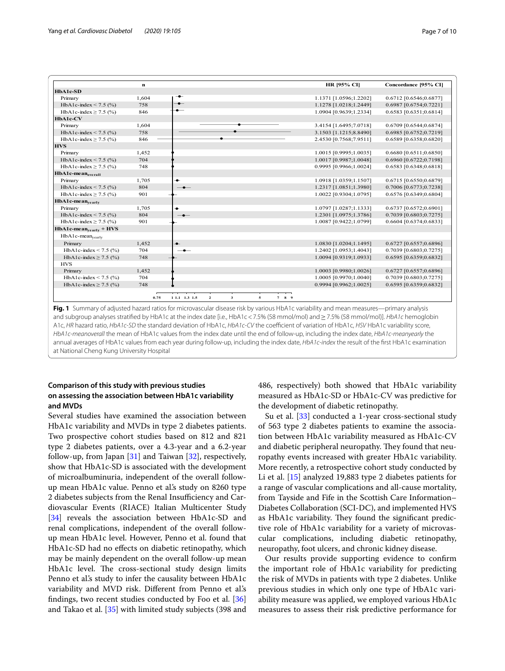|                                       | $\bf n$ |               |                |              |   |       | HR [95% CI]            | Concordance [95% CI]   |
|---------------------------------------|---------|---------------|----------------|--------------|---|-------|------------------------|------------------------|
| HbA1c-SD                              |         |               |                |              |   |       |                        |                        |
| Primary                               | 1,604   |               |                |              |   |       | 1.1371 [1.0596;1.2202] | 0.6712 [0.6546;0.6877] |
| HbA1c-index < 7.5 $(\% )$             | 758     | $\bullet -$   |                |              |   |       | 1.1278 [1.0218;1.2449] | 0.6987 [0.6754;0.7221] |
| HbA1c-index $\geq$ 7.5 (%)            | 846     |               |                |              |   |       | 1.0904 [0.9639;1.2334] | 0.6583 [0.6351;0.6814] |
| HbA1c-CV                              |         |               |                |              |   |       |                        |                        |
| Primary                               | 1,604   |               |                |              |   |       | 3.4154 [1.6495;7.0718] | 0.6709 [0.6544;0.6874] |
| HbA1c-index < 7.5 $(\% )$             | 758     |               |                |              |   |       | 3.1503 [1.1215;8.8490] | 0.6985 [0.6752;0.7219] |
| HbA1c-index $\geq$ 7.5 (%)            | 846     |               |                |              |   |       | 2.4530 [0.7568;7.9511] | 0.6589 [0.6358;0.6820] |
| <b>HVS</b>                            |         |               |                |              |   |       |                        |                        |
| Primary                               | 1,452   |               |                |              |   |       | 1.0015 [0.9995;1.0035] | 0.6680 [0.6511;0.6850] |
| HbA1c-index < 7.5 $(\% )$             | 704     |               |                |              |   |       | 1.0017 [0.9987;1.0048] | 0.6960 [0.6722;0.7198] |
| HbA1c-index $\geq$ 7.5 (%)            | 748     |               |                |              |   |       | 0.9995 [0.9966;1.0024] | 0.6583 [0.6348;0.6818] |
| HbA1c-mean <sub>overall</sub>         |         |               |                |              |   |       |                        |                        |
| Primary                               | 1,705   | ٠             |                |              |   |       | 1.0918 [1.0359;1.1507] | 0.6715 [0.6550;0.6879] |
| HbA1c-index < 7.5 $(\% )$             | 804     | $\bullet$     |                |              |   |       | 1.2317 [1.0851;1.3980] | 0.7006 [0.6773;0.7238] |
| HbA1c-index $\geq$ 7.5 (%)            | 901     |               |                |              |   |       | 1.0022 [0.9304;1.0795] | 0.6576 [0.6349;0.6804] |
| $HbA1c$ -mean <sub>vearly</sub>       |         |               |                |              |   |       |                        |                        |
| Primary                               | 1,705   | ۰             |                |              |   |       | 1.0797 [1.0287;1.1333] | 0.6737 [0.6572;0.6901] |
| HbA1c-index < 7.5 $(\% )$             | 804     | $-$           |                |              |   |       | 1.2301 [1.0975;1.3786] | 0.7039 [0.6803;0.7275] |
| HbA1c-index $\geq$ 7.5 (%)            | 901     |               |                |              |   |       | 1.0087 [0.9422;1.0799] | 0.6604 [0.6374;0.6833] |
| $HbA1c$ -mean <sub>vearly</sub> + HVS |         |               |                |              |   |       |                        |                        |
| HbA1c-mean <sub>yearly</sub>          |         |               |                |              |   |       |                        |                        |
| Primary                               | 1,452   | $\bullet$     |                |              |   |       | 1.0830 [1.0204;1.1495] | 0.6727 [0.6557;0.6896] |
| HbA1c-index < 7.5 $(\% )$             | 704     |               |                |              |   |       | 1.2402 [1.0953;1.4043] | 0.7039 [0.6803;0.7275] |
| HbA1c-index $\geq$ 7.5 (%)            | 748     |               |                |              |   |       | 1.0094 [0.9319;1.0933] | 0.6595 [0.6359;0.6832] |
| <b>HVS</b>                            |         |               |                |              |   |       |                        |                        |
| Primary                               | 1,452   |               |                |              |   |       | 1.0003 [0.9980;1.0026] | 0.6727 [0.6557;0.6896] |
| HbA1c-index < 7.5 $(\% )$             | 704     |               |                |              |   |       | 1.0005 [0.9970;1.0040] | 0.7039 [0.6803;0.7275] |
| HbA1c-index $\geq$ 7.5 (%)            | 748     |               |                |              |   |       | 0.9994 [0.9962;1.0025] | 0.6595 [0.6359;0.6832] |
|                                       |         |               |                |              |   |       |                        |                        |
|                                       | 0.75    | 1 1.1 1.3 1.5 | $\overline{2}$ | $\mathbf{3}$ | 5 | 7 8 9 |                        |                        |

<span id="page-6-0"></span>and subgroup analyses stratifed by HbA1c at the index date [i.e., HbA1c<7.5% (58 mmol/mol) and≥7.5% (58 mmol/mol)]. *HbA1c* hemoglobin A1c, *HR* hazard ratio, *HbA1c-SD* the standard deviation of HbA1c, *HbA1c-CV* the coefficient of variation of HbA1c, *HSV* HbA1c variability score, *HbA1c-meanoverall* the mean of HbA1c values from the index date until the end of follow-up, including the index date, *HbA1c-meanyearly* the annual averages of HbA1c values from each year during follow-up, including the index date, *HbA1c-index* the result of the frst HbA1c examination at National Cheng Kung University Hospital

## **Comparison of this study with previous studies on assessing the association between HbA1c variability and MVDs**

Several studies have examined the association between HbA1c variability and MVDs in type 2 diabetes patients. Two prospective cohort studies based on 812 and 821 type 2 diabetes patients, over a 4.3-year and a 6.2-year follow-up, from Japan [[31\]](#page-9-11) and Taiwan [\[32](#page-9-23)], respectively, show that HbA1c-SD is associated with the development of microalbuminuria, independent of the overall followup mean HbA1c value. Penno et al.'s study on 8260 type 2 diabetes subjects from the Renal Insufficiency and Cardiovascular Events (RIACE) Italian Multicenter Study [[34\]](#page-9-13) reveals the association between HbA1c-SD and renal complications, independent of the overall followup mean HbA1c level. However, Penno et al. found that HbA1c-SD had no efects on diabetic retinopathy, which may be mainly dependent on the overall follow-up mean HbA1c level. The cross-sectional study design limits Penno et al.'s study to infer the causality between HbA1c variability and MVD risk. Diferent from Penno et al.'s fndings, two recent studies conducted by Foo et al. [[36](#page-9-14)] and Takao et al. [[35\]](#page-9-24) with limited study subjects (398 and

486, respectively) both showed that HbA1c variability measured as HbA1c-SD or HbA1c-CV was predictive for the development of diabetic retinopathy.

Su et al. [[33\]](#page-9-25) conducted a 1-year cross-sectional study of 563 type 2 diabetes patients to examine the association between HbA1c variability measured as HbA1c-CV and diabetic peripheral neuropathy. They found that neuropathy events increased with greater HbA1c variability. More recently, a retrospective cohort study conducted by Li et al. [[15\]](#page-9-7) analyzed 19,883 type 2 diabetes patients for a range of vascular complications and all-cause mortality, from Tayside and Fife in the Scottish Care Information– Diabetes Collaboration (SCI-DC), and implemented HVS as HbA1c variability. They found the significant predictive role of HbA1c variability for a variety of microvascular complications, including diabetic retinopathy, neuropathy, foot ulcers, and chronic kidney disease.

Our results provide supporting evidence to confrm the important role of HbA1c variability for predicting the risk of MVDs in patients with type 2 diabetes. Unlike previous studies in which only one type of HbA1c variability measure was applied, we employed various HbA1c measures to assess their risk predictive performance for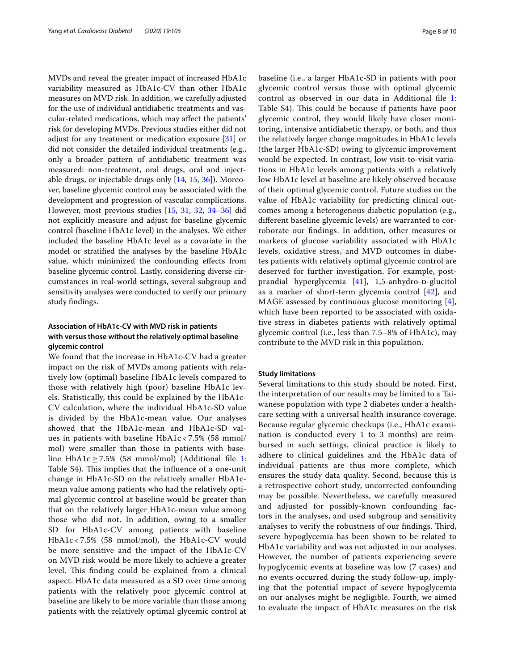MVDs and reveal the greater impact of increased HbA1c variability measured as HbA1c-CV than other HbA1c measures on MVD risk. In addition, we carefully adjusted for the use of individual antidiabetic treatments and vascular-related medications, which may afect the patients' risk for developing MVDs. Previous studies either did not adjust for any treatment or medication exposure [\[31](#page-9-11)] or did not consider the detailed individual treatments (e.g., only a broader pattern of antidiabetic treatment was measured: non-treatment, oral drugs, oral and injectable drugs, or injectable drugs only [\[14,](#page-9-26) [15,](#page-9-7) [36\]](#page-9-14)). Moreover, baseline glycemic control may be associated with the development and progression of vascular complications. However, most previous studies [\[15](#page-9-7), [31](#page-9-11), [32,](#page-9-23) [34–](#page-9-13)[36](#page-9-14)] did not explicitly measure and adjust for baseline glycemic control (baseline HbA1c level) in the analyses. We either included the baseline HbA1c level as a covariate in the model or stratifed the analyses by the baseline HbA1c value, which minimized the confounding efects from baseline glycemic control. Lastly, considering diverse circumstances in real-world settings, several subgroup and sensitivity analyses were conducted to verify our primary study fndings.

## **Association of HbA1c‑CV with MVD risk in patients with versus those without the relatively optimal baseline glycemic control**

We found that the increase in HbA1c-CV had a greater impact on the risk of MVDs among patients with relatively low (optimal) baseline HbA1c levels compared to those with relatively high (poor) baseline HbA1c levels. Statistically, this could be explained by the HbA1c-CV calculation, where the individual HbA1c-SD value is divided by the HbA1c-mean value. Our analyses showed that the HbA1c-mean and HbA1c-SD values in patients with baseline HbA1c < 7.5% (58 mmol/ mol) were smaller than those in patients with base-line HbA[1](#page-8-8)c  $\geq$  7.5% (58 mmol/mol) (Additional file 1: Table S4). This implies that the influence of a one-unit change in HbA1c-SD on the relatively smaller HbA1cmean value among patients who had the relatively optimal glycemic control at baseline would be greater than that on the relatively larger HbA1c-mean value among those who did not. In addition, owing to a smaller SD for HbA1c-CV among patients with baseline HbA1c < 7.5% (58 mmol/mol), the HbA1c-CV would be more sensitive and the impact of the HbA1c-CV on MVD risk would be more likely to achieve a greater level. This finding could be explained from a clinical aspect. HbA1c data measured as a SD over time among patients with the relatively poor glycemic control at baseline are likely to be more variable than those among patients with the relatively optimal glycemic control at baseline (i.e., a larger HbA1c-SD in patients with poor glycemic control versus those with optimal glycemic control as observed in our data in Additional fle [1](#page-8-8): Table S4). This could be because if patients have poor glycemic control, they would likely have closer monitoring, intensive antidiabetic therapy, or both, and thus the relatively larger change magnitudes in HbA1c levels (the larger HbA1c-SD) owing to glycemic improvement would be expected. In contrast, low visit-to-visit variations in HbA1c levels among patients with a relatively low HbA1c level at baseline are likely observed because of their optimal glycemic control. Future studies on the value of HbA1c variability for predicting clinical outcomes among a heterogenous diabetic population (e.g., diferent baseline glycemic levels) are warranted to corroborate our fndings. In addition, other measures or markers of glucose variability associated with HbA1c levels, oxidative stress, and MVD outcomes in diabetes patients with relatively optimal glycemic control are deserved for further investigation. For example, postprandial hyperglycemia  $[41]$  $[41]$  $[41]$ , 1,5-anhydro- $p$ -glucitol as a marker of short-term glycemia control [[42](#page-9-28)], and MAGE assessed by continuous glucose monitoring [[4](#page-8-3)], which have been reported to be associated with oxidative stress in diabetes patients with relatively optimal glycemic control (i.e., less than 7.5–8% of HbA1c), may contribute to the MVD risk in this population.

#### **Study limitations**

Several limitations to this study should be noted. First, the interpretation of our results may be limited to a Taiwanese population with type 2 diabetes under a healthcare setting with a universal health insurance coverage. Because regular glycemic checkups (i.e., HbA1c examination is conducted every 1 to 3 months) are reimbursed in such settings, clinical practice is likely to adhere to clinical guidelines and the HbA1c data of individual patients are thus more complete, which ensures the study data quality. Second, because this is a retrospective cohort study, uncorrected confounding may be possible. Nevertheless, we carefully measured and adjusted for possibly-known confounding factors in the analyses, and used subgroup and sensitivity analyses to verify the robustness of our findings. Third, severe hypoglycemia has been shown to be related to HbA1c variability and was not adjusted in our analyses. However, the number of patients experiencing severe hypoglycemic events at baseline was low (7 cases) and no events occurred during the study follow-up, implying that the potential impact of severe hypoglycemia on our analyses might be negligible. Fourth, we aimed to evaluate the impact of HbA1c measures on the risk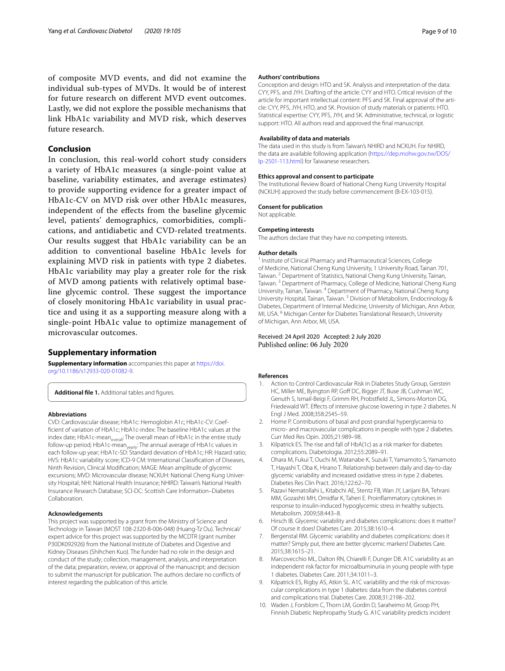of composite MVD events, and did not examine the individual sub-types of MVDs. It would be of interest for future research on diferent MVD event outcomes. Lastly, we did not explore the possible mechanisms that link HbA1c variability and MVD risk, which deserves future research.

## **Conclusion**

In conclusion, this real-world cohort study considers a variety of HbA1c measures (a single-point value at baseline, variability estimates, and average estimates) to provide supporting evidence for a greater impact of HbA1c-CV on MVD risk over other HbA1c measures, independent of the efects from the baseline glycemic level, patients' demographics, comorbidities, complications, and antidiabetic and CVD-related treatments. Our results suggest that HbA1c variability can be an addition to conventional baseline HbA1c levels for explaining MVD risk in patients with type 2 diabetes. HbA1c variability may play a greater role for the risk of MVD among patients with relatively optimal baseline glycemic control. These suggest the importance of closely monitoring HbA1c variability in usual practice and using it as a supporting measure along with a single-point HbA1c value to optimize management of microvascular outcomes.

#### **Supplementary information**

**Supplementary information** accompanies this paper at [https://doi.](https://doi.org/10.1186/s12933-020-01082-9) [org/10.1186/s12933-020-01082-9](https://doi.org/10.1186/s12933-020-01082-9).

<span id="page-8-8"></span>Additional file 1. Additional tables and figures.

#### **Abbreviations**

CVD: Cardiovascular disease; HbA1c: Hemoglobin A1c; HbA1c-CV: Coeffcient of variation of HbA1c; HbA1c-index: The baseline HbA1c values at the index date; HbA1c-mean<sub>overall</sub>: The overall mean of HbA1c in the entire study follow-up period; HbA1c-mean<sub>yearly</sub>: The annual average of HbA1c values in each follow-up year; HbA1c-SD: Standard deviation of HbA1c; HR: Hazard ratio; HVS: HbA1c variability score; ICD-9 CM: International Classifcation of Diseases, Ninth Revision, Clinical Modifcation; MAGE: Mean amplitude of glycemic excursions; MVD: Microvascular disease; NCKUH: National Cheng Kung University Hospital; NHI: National Health Insurance; NHIRD: Taiwan's National Health Insurance Research Database; SCI-DC: Scottish Care Information–Diabetes Collaboration.

#### **Acknowledgements**

This project was supported by a grant from the Ministry of Science and Technology in Taiwan (MOST 108-2320-B-006-048) (Huang-Tz Ou). Technical/ expert advice for this project was supported by the MCDTR (grant number P30DK092926) from the National Institute of Diabetes and Digestive and Kidney Diseases (Shihchen Kuo). The funder had no role in the design and conduct of the study; collection, management, analysis, and interpretation of the data; preparation, review, or approval of the manuscript; and decision to submit the manuscript for publication. The authors declare no conficts of interest regarding the publication of this article.

#### **Authors' contributions**

Conception and design: HTO and SK. Analysis and interpretation of the data: CYY, PFS, and JYH. Drafting of the article: CYY and HTO. Critical revision of the article for important intellectual content: PFS and SK. Final approval of the article: CYY, PFS, JYH, HTO, and SK. Provision of study materials or patients: HTO. Statistical expertise: CYY, PFS, JYH, and SK. Administrative, technical, or logistic support: HTO. All authors read and approved the final manuscript.

#### **Availability of data and materials**

The data used in this study is from Taiwan's NHIRD and NCKUH. For NHIRD, the data are available following application ([https://dep.mohw.gov.tw/DOS/](https://dep.mohw.gov.tw/DOS/lp-2501-113.html) [lp-2501-113.html](https://dep.mohw.gov.tw/DOS/lp-2501-113.html)) for Taiwanese researchers.

#### **Ethics approval and consent to participate**

The Institutional Review Board of National Cheng Kung University Hospital (NCKUH) approved the study before commencement (B-EX-103-015).

#### **Consent for publication**

Not applicable.

#### **Competing interests**

The authors declare that they have no competing interests.

#### **Author details**

<sup>1</sup> Institute of Clinical Pharmacy and Pharmaceutical Sciences, College of Medicine, National Cheng Kung University, 1 University Road, Tainan 701, Taiwan.<sup>2</sup> Department of Statistics, National Cheng Kung University, Tainan, Taiwan.<sup>3</sup> Department of Pharmacy, College of Medicine, National Cheng Kung University, Tainan, Taiwan. <sup>4</sup> Department of Pharmacy, National Cheng Kung University Hospital, Tainan, Taiwan. 5 Division of Metabolism, Endocrinology & Diabetes, Department of Internal Medicine, University of Michigan, Ann Arbor, MI, USA. 6 Michigan Center for Diabetes Translational Research, University of Michigan, Ann Arbor, MI, USA.

#### Received: 24 April 2020 Accepted: 2 July 2020 Published online: 06 July 2020

#### **References**

- <span id="page-8-0"></span>1. Action to Control Cardiovascular Risk in Diabetes Study Group, Gerstein HC, Miller ME, Byington RP, Goff DC, Bigger JT, Buse JB, Cushman WC, Genuth S, Ismail-Beigi F, Grimm RH, Probstfeld JL, Simons-Morton DG, Friedewald WT. Efects of intensive glucose lowering in type 2 diabetes. N Engl J Med. 2008;358:2545–59.
- <span id="page-8-1"></span>2. Home P. Contributions of basal and post-prandial hyperglycaemia to micro- and macrovascular complications in people with type 2 diabetes. Curr Med Res Opin. 2005;21:989–98.
- <span id="page-8-2"></span>3. Kilpatrick ES. The rise and fall of HbA(1c) as a risk marker for diabetes complications. Diabetologia. 2012;55:2089–91.
- <span id="page-8-3"></span>4. Ohara M, Fukui T, Ouchi M, Watanabe K, Suzuki T, Yamamoto S, Yamamoto T, Hayashi T, Oba K, Hirano T. Relationship between daily and day-to-day glycemic variability and increased oxidative stress in type 2 diabetes. Diabetes Res Clin Pract. 2016;122:62–70.
- <span id="page-8-4"></span>5. Razavi Nematollahi L, Kitabchi AE, Stentz FB, Wan JY, Larijani BA, Tehrani MM, Gozashti MH, Omidfar K, Taheri E. Proinfammatory cytokines in response to insulin-induced hypoglycemic stress in healthy subjects. Metabolism. 2009;58:443–8.
- <span id="page-8-5"></span>6. Hirsch IB. Glycemic variability and diabetes complications: does it matter? Of course it does! Diabetes Care. 2015;38:1610–4.
- <span id="page-8-6"></span>7. Bergenstal RM. Glycemic variability and diabetes complications: does it matter? Simply put, there are better glycemic markers! Diabetes Care. 2015;38:1615–21.
- <span id="page-8-7"></span>8. Marcovecchio ML, Dalton RN, Chiarelli F, Dunger DB. A1C variability as an independent risk factor for microalbuminuria in young people with type 1 diabetes. Diabetes Care. 2011;34:1011–3.
- 9. Kilpatrick ES, Rigby AS, Atkin SL. A1C variability and the risk of microvascular complications in type 1 diabetes: data from the diabetes control and complications trial. Diabetes Care. 2008;31:2198–202.
- 10. Waden J, Forsblom C, Thorn LM, Gordin D, Saraheimo M, Groop PH, Finnish Diabetic Nephropathy Study G. A1C variability predicts incident